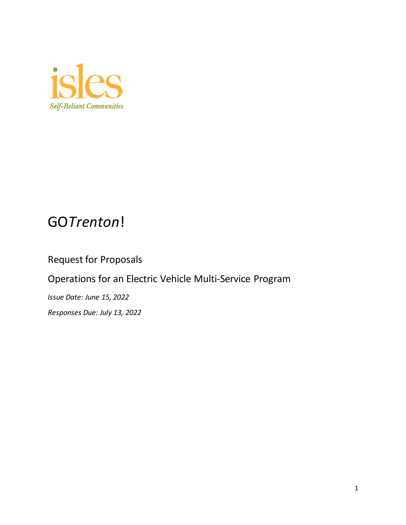

# GO*Trenton*!

## Request for Proposals

Operations for an Electric Vehicle Multi-Service Program

*Issue Date: June 15, 2022 Responses Due: July 13, 2022*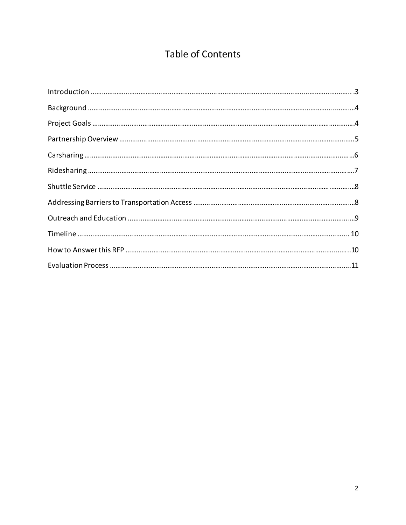## **Table of Contents**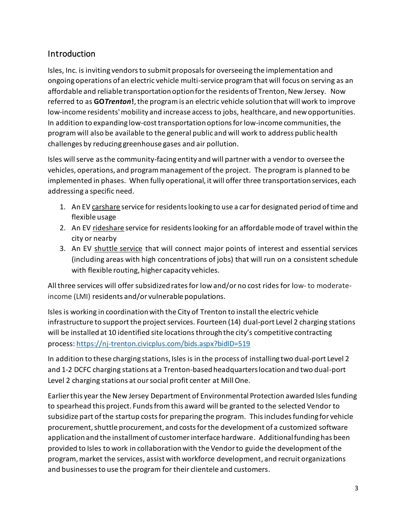## Introduction

Isles, Inc. is inviting vendors to submit proposals for overseeing the implementation and ongoing operations of an electric vehicle multi-service program that will focus on serving as an affordable and reliable transportation option for the residents of Trenton, New Jersey. Now referred to as **GO***Trenton***!**, the program is an electric vehicle solution that will work to improve low-income residents' mobility and increase access to jobs, healthcare, and new opportunities. In addition to expanding low-cost transportation options for low-income communities, the program will also be available to the general public and will work to address public health challenges by reducing greenhouse gases and air pollution.

Isles will serve as the community-facing entity and will partner with a vendor to oversee the vehicles, operations, and program management of the project. The program is planned to be implemented in phases. When fully operational, it will offer three transportation services, each addressing a specific need.

- 1. An EV carshare service for residents looking to use a car for designated period of time and flexible usage
- 2. An EV rideshare service for residents looking for an affordable mode of travel within the city or nearby
- 3. An EV shuttle service that will connect major points of interest and essential services (including areas with high concentrations of jobs) that will run on a consistent schedule with flexible routing, higher capacity vehicles.

All three services will offer subsidized rates for low and/or no cost rides for low- to moderateincome (LMI) residents and/or vulnerable populations.

Isles is working in coordination with the City of Trenton to install the electric vehicle infrastructure to support the project services. Fourteen (14) dual-port Level 2 charging stations will be installed at 10 identified site locations through the city's competitive contracting process[: https://nj-trenton.civicplus.com/bids.aspx?bidID=519](https://nj-trenton.civicplus.com/bids.aspx?bidID=519)

In addition to these charging stations, Isles is in the process of installing two dual-port Level 2 and 1-2 DCFC charging stations at a Trenton-based headquarters location and two dual-port Level 2 charging stations at our social profit center at Mill One.

Earlier this year the New Jersey Department of Environmental Protection awarded Isles funding to spearhead this project. Funds from this award will be granted to the selected Vendor to subsidize part of the startup costs for preparing the program. This includes funding for vehicle procurement, shuttle procurement, and costs for the development of a customized software application and the installment of customer interface hardware. Additional funding has been provided to Isles to work in collaboration with the Vendor to guide the development of the program, market the services, assist with workforce development, and recruit organizations and businesses to use the program for their clientele and customers.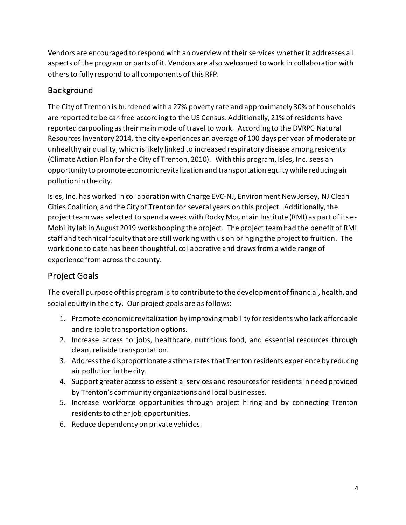Vendors are encouraged to respond with an overview of their services whether it addresses all aspects of the program or parts of it. Vendors are also welcomed to work in collaboration with others to fully respond to all components of this RFP.

## Background

The City of Trenton is burdened with a 27% poverty rate and approximately 30% of households are reported to be car-free according to the US Census. Additionally, 21% of residents have reported carpooling as their main mode of travel to work. According to the DVRPC Natural Resources Inventory 2014, the city experiences an average of 100 days per year of moderate or unhealthy air quality, which is likely linked to increased respiratory disease among residents (Climate Action Plan for the City of Trenton, 2010). With this program, Isles, Inc. sees an opportunity to promote economic revitalization and transportation equity while reducing air pollution in the city.

Isles, Inc. has worked in collaboration with Charge EVC-NJ, Environment New Jersey, NJ Clean Cities Coalition, and the City of Trenton for several years on this project. Additionally, the project team was selected to spend a week with Rocky Mountain Institute (RMI) as part of its e-Mobility lab in August 2019 workshopping the project. The project team had the benefit of RMI staff and technical faculty that are still working with us on bringing the project to fruition. The work done to date has been thoughtful, collaborative and draws from a wide range of experience from across the county.

## Project Goals

The overall purpose of this program is to contribute to the development of financial, health, and social equity in the city. Our project goals are as follows:

- 1. Promote economic revitalization by improving mobility for residents who lack affordable and reliable transportation options.
- 2. Increase access to jobs, healthcare, nutritious food, and essential resources through clean, reliable transportation.
- 3. Address the disproportionate asthma rates thatTrenton residents experience by reducing air pollution in the city.
- 4. Support greater access to essential services and resources for residents in need provided by Trenton's community organizations and local businesses.
- 5. Increase workforce opportunities through project hiring and by connecting Trenton residents to other job opportunities.
- 6. Reduce dependency on private vehicles.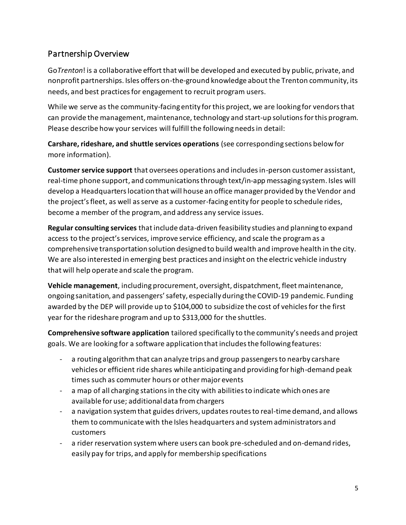## Partnership Overview

Go*Trenton*! is a collaborative effort that will be developed and executed by public, private, and nonprofit partnerships. Isles offers on-the-ground knowledge about the Trenton community, its needs, and best practices for engagement to recruit program users.

While we serve as the community-facing entity for this project, we are looking for vendors that can provide the management, maintenance, technology and start-up solutionsfor this program. Please describe how your services will fulfill the following needsin detail:

**Carshare, rideshare, and shuttle services operations** (see corresponding sections below for more information).

**Customer service support** that oversees operations and includes in-person customer assistant, real-time phone support, and communications through text/in-app messaging system. Isles will develop a Headquarters location that will house an office manager provided by the Vendor and the project's fleet, as well as serve as a customer-facing entity for people to schedule rides, become a member of the program, and address any service issues.

**Regular consulting services** that include data-driven feasibility studies and planning to expand access to the project's services, improve service efficiency, and scale the program as a comprehensive transportation solution designed to build wealth and improve health in the city. We are also interested in emerging best practices and insight on the electric vehicle industry that will help operate and scale the program.

**Vehicle management**, including procurement, oversight, dispatchment, fleet maintenance, ongoing sanitation, and passengers' safety, especially during the COVID-19 pandemic. Funding awarded by the DEP will provide up to \$104,000 to subsidize the cost of vehicles for the first year for the rideshare program and up to \$313,000 for the shuttles.

**Comprehensive software application** tailored specifically to the community's needs and project goals. We are looking for a software application that includes the following features:

- a routing algorithm that can analyze trips and group passengers to nearby carshare vehicles or efficient ride shares while anticipating and providing for high-demand peak times such as commuter hours or other major events
- a map of all charging stations in the city with abilities to indicate which ones are available for use; additional data from chargers
- a navigation system that guides drivers, updates routes to real-time demand, and allows them to communicate with the Isles headquarters and system administrators and customers
- a rider reservation system where users can book pre-scheduled and on-demand rides, easily pay for trips, and apply for membership specifications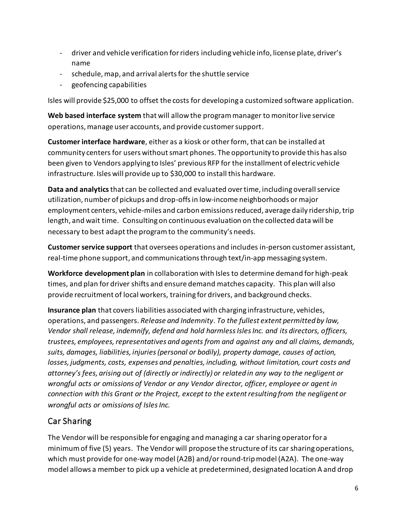- driver and vehicle verification for riders including vehicle info, license plate, driver's name
- schedule, map, and arrival alerts for the shuttle service
- geofencing capabilities

Isles will provide \$25,000 to offset the costs for developing a customized software application.

**Web based interface system** that will allow the program manager to monitor live service operations, manage user accounts, and provide customer support.

**Customer interface hardware**, either as a kiosk or other form, that can be installed at community centers for users without smart phones. The opportunity to provide this has also been given to Vendors applying to Isles' previous RFP for the installment of electric vehicle infrastructure. Isles will provide up to \$30,000 to install this hardware.

**Data and analytics**that can be collected and evaluated over time, including overall service utilization, number of pickups and drop-offs in low-income neighborhoods or major employment centers, vehicle-miles and carbon emissions reduced, average daily ridership, trip length, and wait time. Consulting on continuous evaluation on the collected data will be necessary to best adapt the program to the community's needs.

**Customer service support** that oversees operations and includes in-person customer assistant, real-time phone support, and communications through text/in-app messaging system.

**Workforce development plan** in collaboration with Isles to determine demand for high-peak times, and plan for driver shifts and ensure demand matches capacity. This plan will also provide recruitment of local workers, training for drivers, and background checks.

**Insurance plan** that covers liabilities associated with charging infrastructure, vehicles, operations, and passengers. *Release and Indemnity*. *To the fullest extent permitted by law, Vendor shall release, indemnify, defend and hold harmless Isles Inc. and its directors, officers, trustees, employees, representatives and agents from and against any and all claims, demands, suits, damages, liabilities, injuries (personal or bodily), property damage, causes of action, losses, judgments, costs, expenses and penalties, including, without limitation, court costs and attorney's fees, arising out of (directly or indirectly) or related in any way to the negligent or wrongful acts or omissions of Vendor or any Vendor director, officer, employee or agent in connection with this Grant or the Project, except to the extent resulting from the negligent or wrongful acts or omissions of Isles Inc.*

## Car Sharing

The Vendor will be responsible for engaging and managing a car sharing operatorfor a minimum of five (5) years. The Vendor will propose the structure of its car sharing operations, which must provide for one-way model (A2B) and/or round-trip model (A2A). The one-way model allows a member to pick up a vehicle at predetermined, designated location A and drop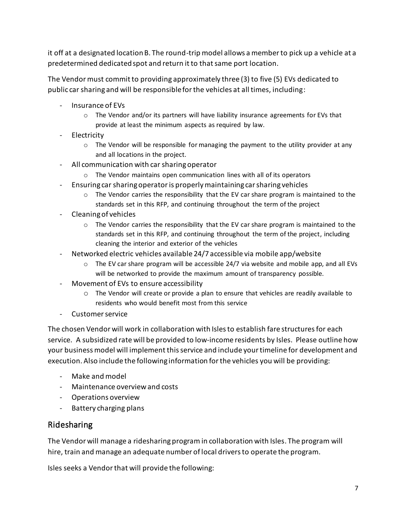it off at a designated location B. The round-trip model allows a member to pick up a vehicle at a predetermined dedicated spot and return it to that same port location.

The Vendormust commit to providing approximately three (3) to five (5) EVs dedicated to public car sharing and will be responsible for the vehicles at all times, including:

- Insurance of EVs
	- $\circ$  The Vendor and/or its partners will have liability insurance agreements for EVs that provide at least the minimum aspects as required by law.
- Electricity
	- $\circ$  The Vendor will be responsible for managing the payment to the utility provider at any and all locations in the project.
- All communication with car sharing operator
	- o The Vendor maintains open communication lines with all of its operators
- Ensuring car sharing operator is properly maintaining car sharing vehicles
	- $\circ$  The Vendor carries the responsibility that the EV car share program is maintained to the standards set in this RFP, and continuing throughout the term of the project
- Cleaning of vehicles
	- $\circ$  The Vendor carries the responsibility that the EV car share program is maintained to the standards set in this RFP, and continuing throughout the term of the project, including cleaning the interior and exterior of the vehicles
- Networked electric vehicles available 24/7 accessible via mobile app/website
	- $\circ$  The EV car share program will be accessible 24/7 via website and mobile app, and all EVs will be networked to provide the maximum amount of transparency possible.
- Movement of EVs to ensure accessibility
	- $\circ$  The Vendor will create or provide a plan to ensure that vehicles are readily available to residents who would benefit most from this service
- Customer service

The chosen Vendor will work in collaboration with Isles to establish fare structuresfor each service. A subsidized rate will be provided to low-income residents by Isles. Please outline how your business model will implement this service and include your timeline for development and execution. Also include the following information for the vehicles you will be providing:

- Make and model
- Maintenance overview and costs
- Operations overview
- Battery charging plans

#### Ridesharing

The Vendor will manage a ridesharing program in collaboration with Isles. The program will hire, train and manage an adequate number of local drivers to operate the program.

Isles seeks a Vendor that will provide the following: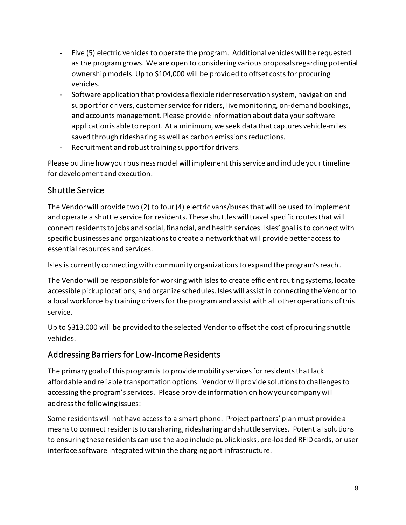- Five (5) electric vehicles to operate the program. Additional vehicles will be requested as the program grows. We are open to considering various proposals regarding potential ownership models. Up to \$104,000 will be provided to offset costs for procuring vehicles.
- Software application that provides a flexible rider reservation system, navigation and support for drivers, customer service for riders, live monitoring, on-demand bookings, and accounts management. Please provide information about data your software application is able to report. At a minimum, we seek data that captures vehicle-miles saved through ridesharing as well as carbon emissions reductions.
- Recruitment and robust training support for drivers.

Please outline how your business model will implement this service and include your timeline for development and execution.

## Shuttle Service

The Vendor will provide two (2) to four(4) electric vans/buses that will be used to implement and operate a shuttle service for residents. These shuttles will travel specific routes that will connect residents to jobs and social, financial, and health services. Isles' goal is to connect with specific businesses and organizations to create a network that will provide better access to essential resources and services.

Isles is currently connecting with community organizations to expand the program's reach.

The Vendor will be responsible for working with Isles to create efficient routing systems, locate accessible pickup locations, and organize schedules. Isles will assist in connecting the Vendor to a local workforce by training drivers for the program and assist with all other operations of this service.

Up to \$313,000 will be provided to the selected Vendor to offset the cost of procuring shuttle vehicles.

## Addressing Barriers for Low-Income Residents

The primary goal of this program is to provide mobility services for residents that lack affordable and reliable transportation options. Vendor will provide solutions to challenges to accessing the program's services. Please provide information on how your company will address the following issues:

Some residents will not have access to a smart phone. Project partners' plan must provide a means to connect residents to carsharing, ridesharing and shuttle services. Potential solutions to ensuring these residents can use the app include public kiosks, pre-loaded RFID cards, or user interface software integrated within the charging port infrastructure.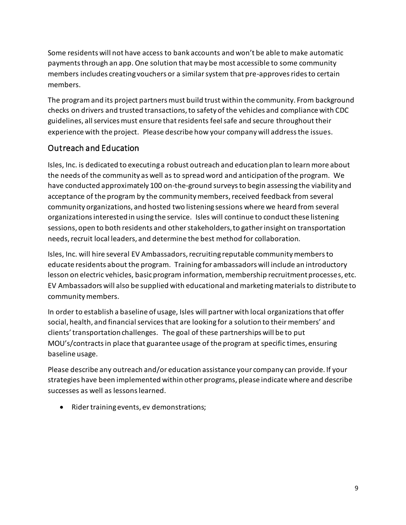Some residents will not have access to bank accounts and won't be able to make automatic payments through an app. One solution that may be most accessible to some community members includes creating vouchers or a similar system that pre-approves rides to certain members.

The program and its project partners must build trust within the community. From background checks on drivers and trusted transactions, to safety of the vehicles and compliance with CDC guidelines, all services must ensure that residents feel safe and secure throughout their experience with the project. Please describe how your company will address the issues.

## Outreach and Education

Isles, Inc. is dedicated to executing a robust outreach and education plan to learn more about the needs of the community as well as to spread word and anticipation of the program. We have conducted approximately 100 on-the-ground surveys to begin assessing the viability and acceptance of the program by the community members, received feedback from several community organizations, and hosted two listening sessions where we heard from several organizations interested in using the service. Isles will continue to conduct these listening sessions, open to both residents and other stakeholders, to gather insight on transportation needs, recruit local leaders, and determine the best method for collaboration.

Isles, Inc. will hire several EV Ambassadors, recruiting reputable community members to educate residents about the program. Training for ambassadors will include an introductory lesson on electric vehicles, basic program information, membership recruitment processes, etc. EV Ambassadors will also be supplied with educational and marketing materials to distribute to community members.

In order to establish a baseline of usage, Isles will partner with local organizations that offer social, health, and financial services that are looking for a solution to their members' and clients' transportation challenges. The goal of these partnerships will be to put MOU's/contracts in place that guarantee usage of the program at specific times, ensuring baseline usage.

Please describe any outreach and/or education assistance your company can provide. If your strategies have been implemented within other programs, please indicate where and describe successes as well as lessons learned.

• Rider training events, ev demonstrations;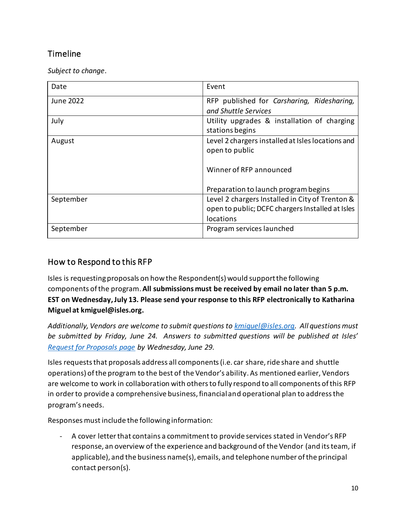## **Timeline**

*Subject to change*.

| Date      | Event                                             |
|-----------|---------------------------------------------------|
| June 2022 | RFP published for Carsharing, Ridesharing,        |
|           | and Shuttle Services                              |
| July      | Utility upgrades & installation of charging       |
|           | stations begins                                   |
| August    | Level 2 chargers installed at Isles locations and |
|           | open to public                                    |
|           |                                                   |
|           | Winner of RFP announced                           |
|           |                                                   |
|           | Preparation to launch program begins              |
| September | Level 2 chargers Installed in City of Trenton &   |
|           | open to public; DCFC chargers Installed at Isles  |
|           | locations                                         |
| September | Program services launched                         |

## How to Respond to this RFP

Isles is requesting proposals on how the Respondent(s) would support the following components of the program. **All submissions must be received by email no later than 5 p.m. EST on Wednesday, July 13. Please send your response to this RFP electronically to Katharina Miguel at kmiguel@isles.org.**

*Additionally, Vendors are welcome to submit questions to [kmiguel@isles.org.](mailto:kmiguel@isles.org) All questions must be submitted by Friday, June 24. Answers to submitted questions will be published at Isles' [Request for Proposals page](https://isles.org/requests-for-proposals/) by Wednesday, June 29.* 

Isles requests that proposals address all components (i.e. car share, ride share and shuttle operations) of the program to the best of the Vendor's ability. As mentioned earlier, Vendors are welcome to work in collaboration with others to fully respond to all components of this RFP in order to provide a comprehensive business, financial and operational plan to address the program's needs.

Responses must include the following information:

- A cover letter that contains a commitment to provide services stated in Vendor's RFP response, an overview of the experience and background of the Vendor (and its team, if applicable), and the business name(s), emails, and telephone number of the principal contact person(s).